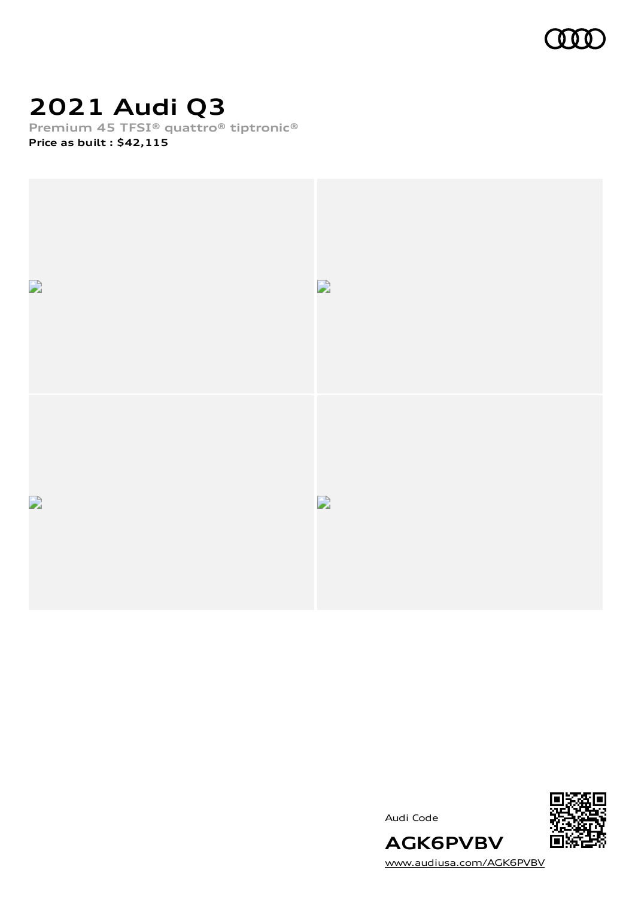

## **2021 Audi Q3**

**Premium 45 TFSI® quattro® tiptronic® Price as built [:](#page-10-0) \$42,115**



Audi Code



[www.audiusa.com/AGK6PVBV](https://www.audiusa.com/AGK6PVBV)

**AGK6PVBV**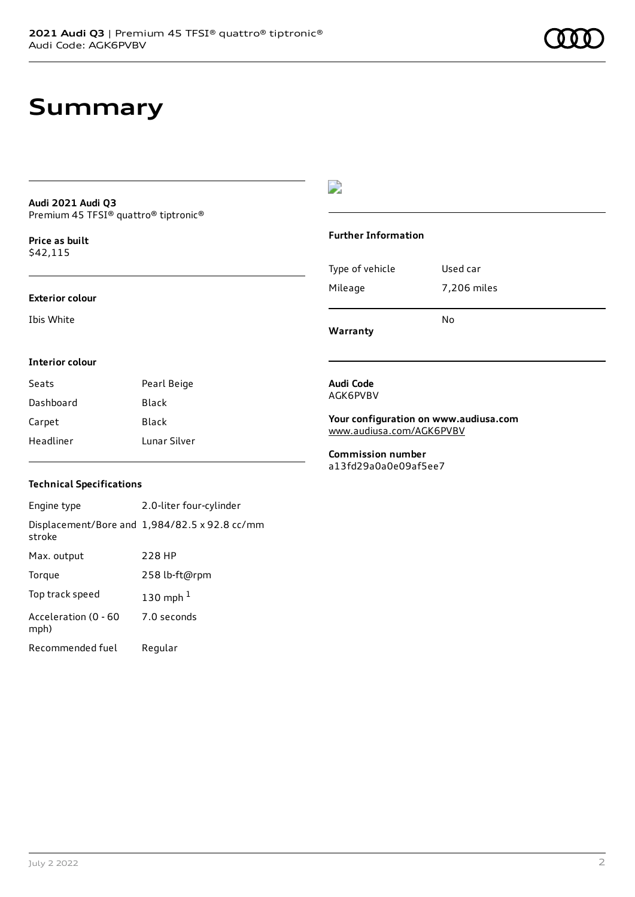## **Summary**

### **Audi 2021 Audi Q3** Premium 45 TFSI® quattro® tiptronic®

**Price as buil[t](#page-10-0)** \$42,115

### **Exterior colour**

Ibis White

### $\overline{\phantom{a}}$

### **Further Information**

|                 | N٥          |
|-----------------|-------------|
| Mileage         | 7,206 miles |
| Type of vehicle | Used car    |

**Warranty**

### **Interior colour**

| Seats     | Pearl Beige  |
|-----------|--------------|
| Dashboard | Black        |
| Carpet    | Black        |
| Headliner | Lunar Silver |

#### **Audi Code** AGK6PVBV

**Your configuration on www.audiusa.com** [www.audiusa.com/AGK6PVBV](https://www.audiusa.com/AGK6PVBV)

**Commission number** a13fd29a0a0e09af5ee7

### **Technical Specifications**

| Engine type                  | 2.0-liter four-cylinder                       |
|------------------------------|-----------------------------------------------|
| stroke                       | Displacement/Bore and 1,984/82.5 x 92.8 cc/mm |
| Max. output                  | 228 HP                                        |
| Torque                       | 258 lb-ft@rpm                                 |
| Top track speed              | 130 mph $1$                                   |
| Acceleration (0 - 60<br>mph) | 7.0 seconds                                   |
| Recommended fuel             | Regular                                       |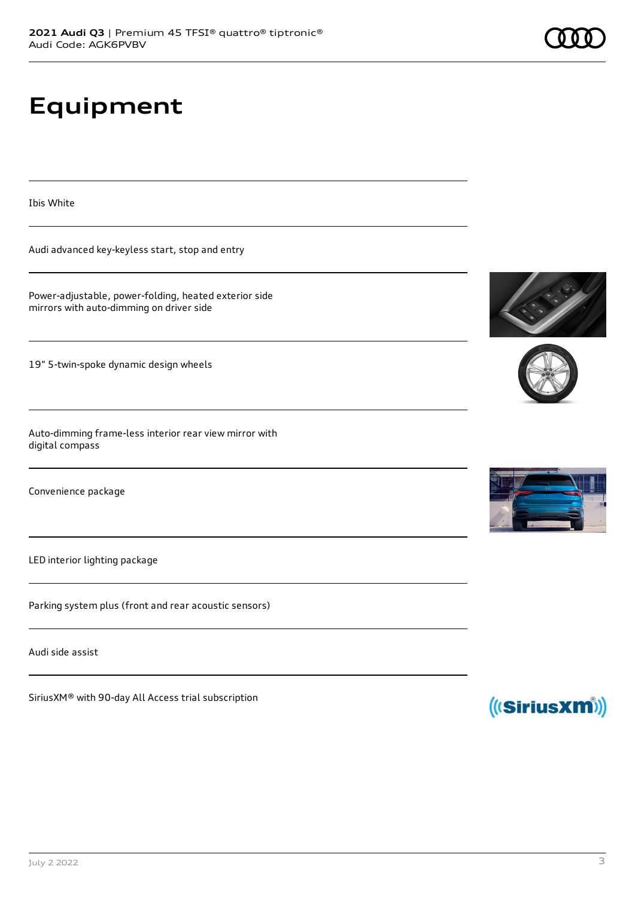# **Equipment**

Ibis White

Audi advanced key-keyless start, stop and entry

Power-adjustable, power-folding, heated exterior side mirrors with auto-dimming on driver side

19" 5-twin-spoke dynamic design wheels

Auto-dimming frame-less interior rear view mirror with digital compass

Convenience package

LED interior lighting package

Parking system plus (front and rear acoustic sensors)

Audi side assist

SiriusXM® with 90-day All Access trial subscription







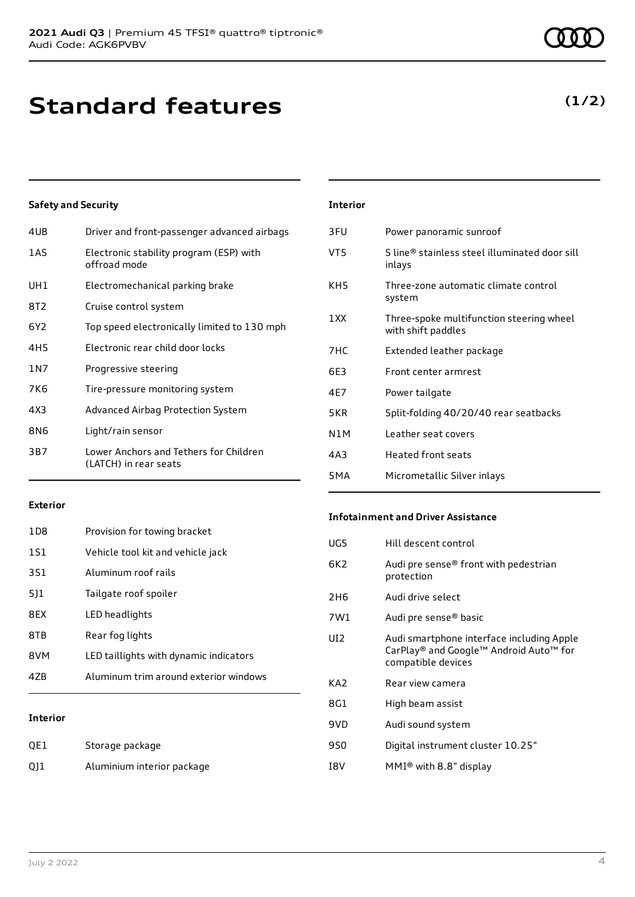## **Standard features**

### **Safety and Security**

| 4UB             | Driver and front-passenger advanced airbags                     |
|-----------------|-----------------------------------------------------------------|
| 1AS             | Electronic stability program (ESP) with<br>offroad mode         |
| UH1             | Electromechanical parking brake                                 |
| 8T2             | Cruise control system                                           |
| 6Y <sub>2</sub> | Top speed electronically limited to 130 mph                     |
| 4H5             | Electronic rear child door locks                                |
| 1 N 7           | Progressive steering                                            |
| 7K6             | Tire-pressure monitoring system                                 |
| 4X3             | Advanced Airbag Protection System                               |
| 8N6             | Light/rain sensor                                               |
| 3B7             | Lower Anchors and Tethers for Children<br>(LATCH) in rear seats |
|                 |                                                                 |

### **Interior** 3FU Power panoramic sunroof VT5 S line® stainless steel illuminated door sill inlays KH5 Three-zone automatic climate control system 1XX Three-spoke multifunction steering wheel with shift paddles 7HC Extended leather package 6E3 Front center armrest 4E7 Power tailgate 5KR Split-folding 40/20/40 rear seatbacks N1M Leather seat covers 4A3 Heated front seats

#### **Exterior**

| 1D8 | Provision for towing bracket           |
|-----|----------------------------------------|
| 1S1 | Vehicle tool kit and vehicle jack      |
| 3S1 | Aluminum roof rails                    |
| 511 | Tailgate roof spoiler                  |
| 8FX | LED headlights                         |
| 8TB | Rear fog lights                        |
| 8VM | LED taillights with dynamic indicators |
| 47B | Aluminum trim around exterior windows  |
|     |                                        |

### **Interior**

| QE1 | Storage package            |
|-----|----------------------------|
| Q11 | Aluminium interior package |

#### **Infotainment and Driver Assistance**

5MA Micrometallic Silver inlays

| UG5             | Hill descent control                                                                                      |
|-----------------|-----------------------------------------------------------------------------------------------------------|
| 6K <sub>2</sub> | Audi pre sense® front with pedestrian<br>protection                                                       |
| 2H <sub>6</sub> | Audi drive select                                                                                         |
| 7W1             | Audi pre sense® basic                                                                                     |
| UD.             | Audi smartphone interface including Apple<br>CarPlay® and Google™ Android Auto™ for<br>compatible devices |
| KA <sub>2</sub> | Rear view camera                                                                                          |
| 8G1             | High beam assist                                                                                          |
| 9VD             | Audi sound system                                                                                         |
| 9S0             | Digital instrument cluster 10.25"                                                                         |
| I8V             | MMI <sup>®</sup> with 8.8" display                                                                        |
|                 |                                                                                                           |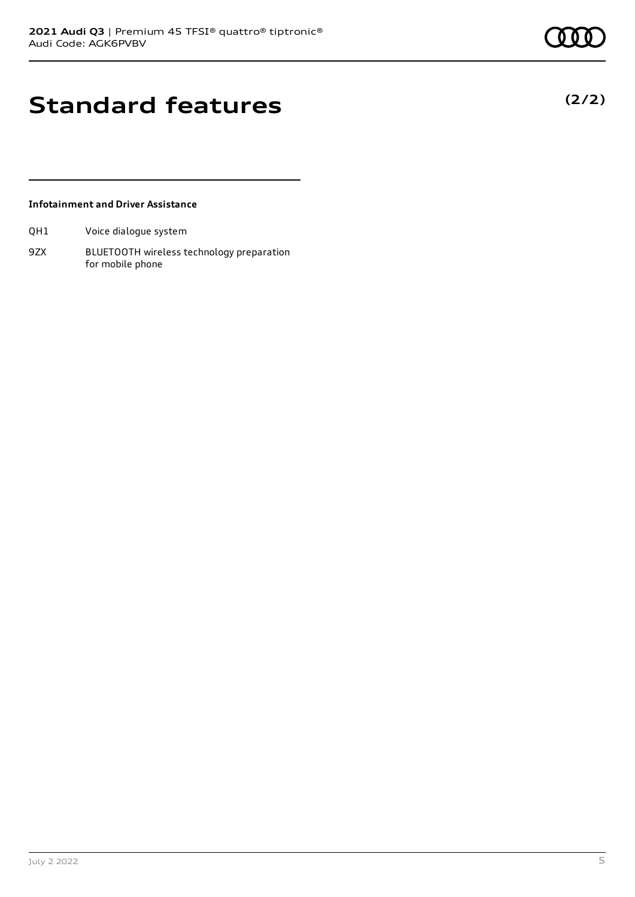**(2/2)**

## **Standard features**

### **Infotainment and Driver Assistance**

QH1 Voice dialogue system

9ZX BLUETOOTH wireless technology preparation for mobile phone

July 2 2022 5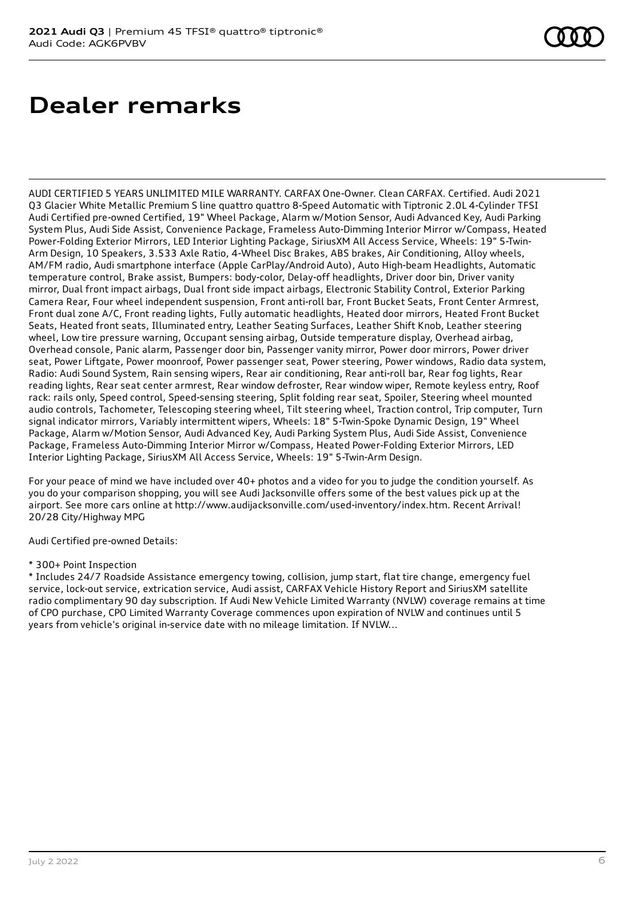## **Dealer remarks**

AUDI CERTIFIED 5 YEARS UNLIMITED MILE WARRANTY. CARFAX One-Owner. Clean CARFAX. Certified. Audi 2021 Q3 Glacier White Metallic Premium S line quattro quattro 8-Speed Automatic with Tiptronic 2.0L 4-Cylinder TFSI Audi Certified pre-owned Certified, 19" Wheel Package, Alarm w/Motion Sensor, Audi Advanced Key, Audi Parking System Plus, Audi Side Assist, Convenience Package, Frameless Auto-Dimming Interior Mirror w/Compass, Heated Power-Folding Exterior Mirrors, LED Interior Lighting Package, SiriusXM All Access Service, Wheels: 19" 5-Twin-Arm Design, 10 Speakers, 3.533 Axle Ratio, 4-Wheel Disc Brakes, ABS brakes, Air Conditioning, Alloy wheels, AM/FM radio, Audi smartphone interface (Apple CarPlay/Android Auto), Auto High-beam Headlights, Automatic temperature control, Brake assist, Bumpers: body-color, Delay-off headlights, Driver door bin, Driver vanity mirror, Dual front impact airbags, Dual front side impact airbags, Electronic Stability Control, Exterior Parking Camera Rear, Four wheel independent suspension, Front anti-roll bar, Front Bucket Seats, Front Center Armrest, Front dual zone A/C, Front reading lights, Fully automatic headlights, Heated door mirrors, Heated Front Bucket Seats, Heated front seats, Illuminated entry, Leather Seating Surfaces, Leather Shift Knob, Leather steering wheel, Low tire pressure warning, Occupant sensing airbag, Outside temperature display, Overhead airbag, Overhead console, Panic alarm, Passenger door bin, Passenger vanity mirror, Power door mirrors, Power driver seat, Power Liftgate, Power moonroof, Power passenger seat, Power steering, Power windows, Radio data system, Radio: Audi Sound System, Rain sensing wipers, Rear air conditioning, Rear anti-roll bar, Rear fog lights, Rear reading lights, Rear seat center armrest, Rear window defroster, Rear window wiper, Remote keyless entry, Roof rack: rails only, Speed control, Speed-sensing steering, Split folding rear seat, Spoiler, Steering wheel mounted audio controls, Tachometer, Telescoping steering wheel, Tilt steering wheel, Traction control, Trip computer, Turn signal indicator mirrors, Variably intermittent wipers, Wheels: 18" 5-Twin-Spoke Dynamic Design, 19" Wheel Package, Alarm w/Motion Sensor, Audi Advanced Key, Audi Parking System Plus, Audi Side Assist, Convenience Package, Frameless Auto-Dimming Interior Mirror w/Compass, Heated Power-Folding Exterior Mirrors, LED Interior Lighting Package, SiriusXM All Access Service, Wheels: 19" 5-Twin-Arm Design.

For your peace of mind we have included over 40+ photos and a video for you to judge the condition yourself. As you do your comparison shopping, you will see Audi Jacksonville offers some of the best values pick up at the airport. See more cars online at http://www.audijacksonville.com/used-inventory/index.htm. Recent Arrival! 20/28 City/Highway MPG

Audi Certified pre-owned Details:

### \* 300+ Point Inspection

\* Includes 24/7 Roadside Assistance emergency towing, collision, jump start, flat tire change, emergency fuel service, lock-out service, extrication service, Audi assist, CARFAX Vehicle History Report and SiriusXM satellite radio complimentary 90 day subscription. If Audi New Vehicle Limited Warranty (NVLW) coverage remains at time of CPO purchase, CPO Limited Warranty Coverage commences upon expiration of NVLW and continues until 5 years from vehicle's original in-service date with no mileage limitation. If NVLW...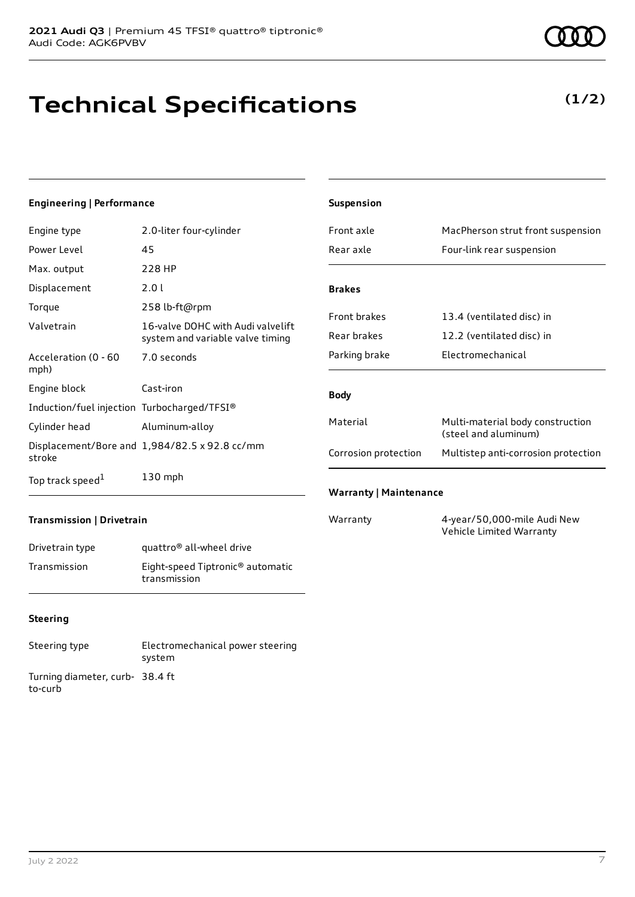## **Technical Specifications**

### **Engineering | Performance**

| Engine type                                 | 2.0-liter four-cylinder                                               |
|---------------------------------------------|-----------------------------------------------------------------------|
| Power Level                                 | 45                                                                    |
| Max. output                                 | 228 HP                                                                |
| Displacement                                | 2.0 L                                                                 |
| Torque                                      | 258 lb-ft@rpm                                                         |
| Valvetrain                                  | 16-valve DOHC with Audi valvelift<br>system and variable valve timing |
| Acceleration (0 - 60<br>mph)                | 7.0 seconds                                                           |
| Engine block                                | Cast-iron                                                             |
| Induction/fuel injection Turbocharged/TFSI® |                                                                       |
| Cylinder head                               | Aluminum-alloy                                                        |
| stroke                                      | Displacement/Bore and 1,984/82.5 x 92.8 cc/mm                         |
| Top track speed <sup>1</sup>                | $130$ mph                                                             |

| <b>Suspension</b>    |                                                          |
|----------------------|----------------------------------------------------------|
| Front axle           | MacPherson strut front suspension                        |
| Rear axle            | Four-link rear suspension                                |
| <b>Brakes</b>        |                                                          |
| <b>Front brakes</b>  | 13.4 (ventilated disc) in                                |
| Rear brakes          | 12.2 (ventilated disc) in                                |
| Parking brake        | Electromechanical                                        |
| <b>Body</b>          |                                                          |
| Material             | Multi-material body construction<br>(steel and aluminum) |
| Corrosion protection | Multistep anti-corrosion protection                      |

### **Transmission | Drivetrain**

| Drivetrain type | quattro <sup>®</sup> all-wheel drive                         |
|-----------------|--------------------------------------------------------------|
| Transmission    | Eight-speed Tiptronic <sup>®</sup> automatic<br>transmission |

### **Steering**

Steering type Electromechanical power steering system Turning diameter, curb-38.4 ft to-curb

Warranty 4-year/50,000-mile Audi New Vehicle Limited Warranty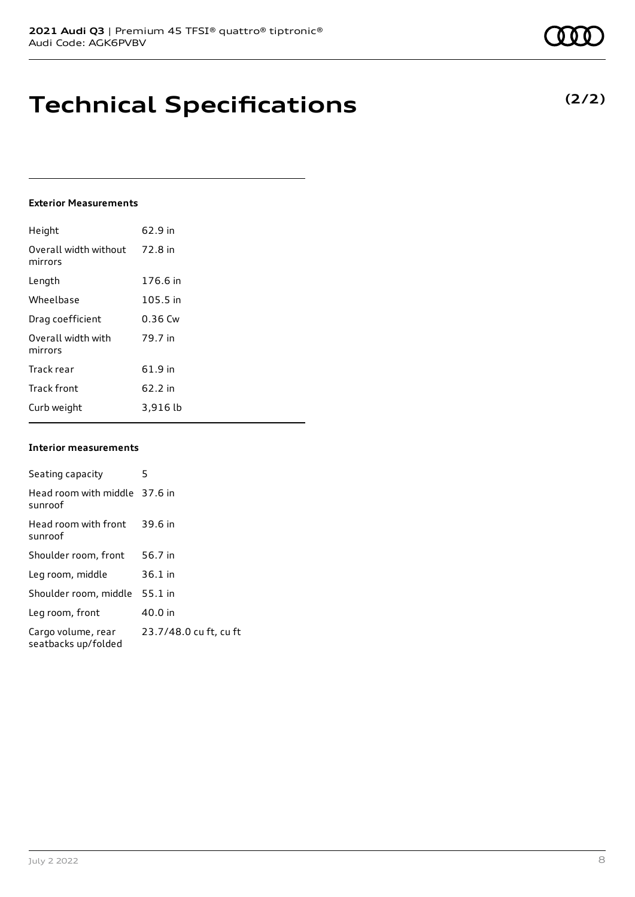## **Technical Specifications**

### **Exterior Measurements**

| Height                           | 62.9 in   |
|----------------------------------|-----------|
| Overall width without<br>mirrors | 72.8 in   |
| Length                           | 176.6 in  |
| Wheelbase                        | 105.5 in  |
| Drag coefficient                 | $0.36$ Cw |
| Overall width with<br>mirrors    | 79.7 in   |
| Track rear                       | 61.9 in   |
| <b>Track front</b>               | 62.2 in   |
| Curb weight                      | 3,916 lb  |

### **Interior measurements**

| Seating capacity                          | 5                      |
|-------------------------------------------|------------------------|
| Head room with middle 37.6 in<br>sunroof  |                        |
| Head room with front<br>sunroof           | 39.6 in                |
| Shoulder room, front                      | 56.7 in                |
| Leg room, middle                          | $36.1$ in              |
| Shoulder room, middle                     | $55.1$ in              |
| Leg room, front                           | 40.0 in                |
| Cargo volume, rear<br>seatbacks up/folded | 23.7/48.0 cu ft, cu ft |

**(2/2)**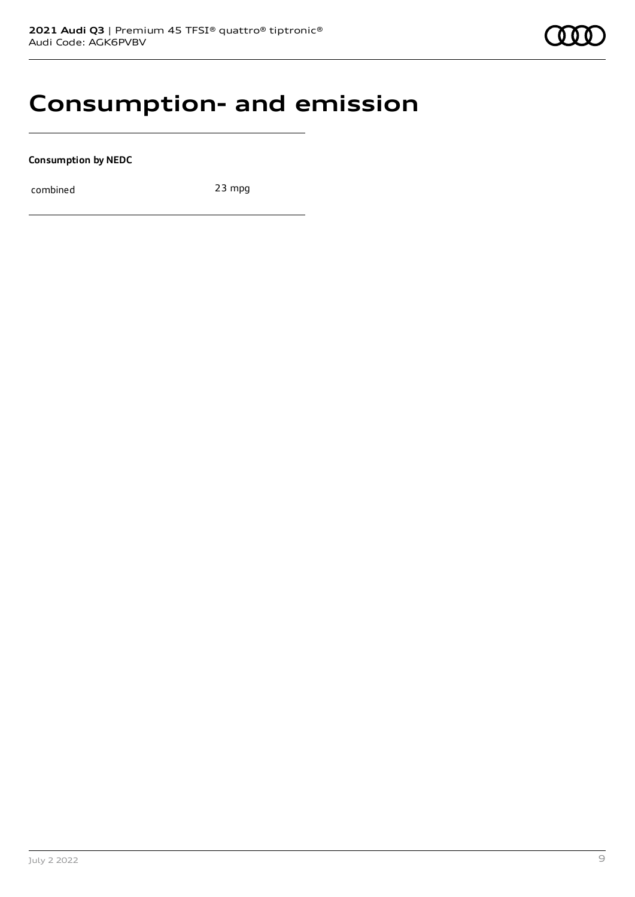### **Consumption- and emission**

**Consumption by NEDC**

combined 23 mpg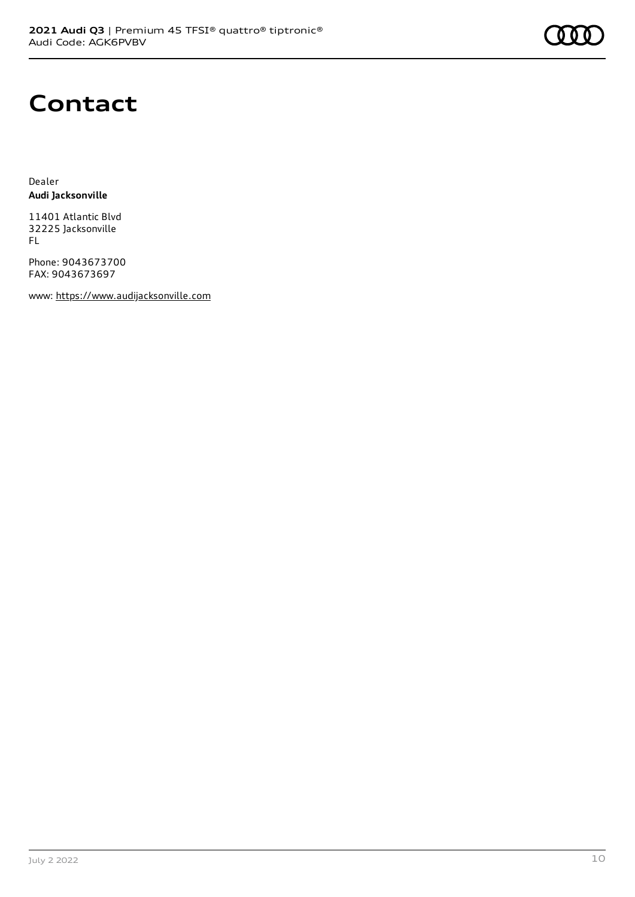### **Contact**

Dealer **Audi Jacksonville**

11401 Atlantic Blvd 32225 Jacksonville FL

Phone: 9043673700 FAX: 9043673697

www: [https://www.audijacksonville.com](https://www.audijacksonville.com/)